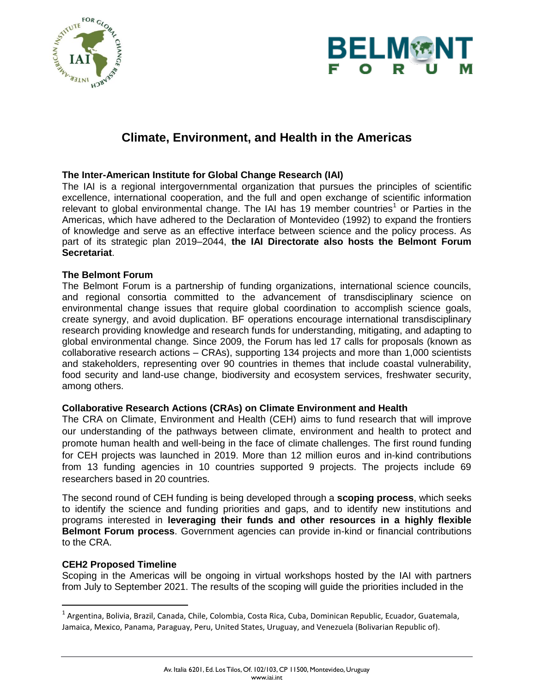



# **Climate, Environment, and Health in the Americas**

## **The Inter-American Institute for Global Change Research (IAI)**

The IAI is a regional intergovernmental organization that pursues the principles of scientific excellence, international cooperation, and the full and open exchange of scientific information relevant to global environmental change. The IAI has 19 member countries<sup>1</sup> or Parties in the Americas, which have adhered to the Declaration of Montevideo (1992) to expand the frontiers of knowledge and serve as an effective interface between science and the policy process. As part of its strategic plan 2019–2044, **the IAI Directorate also hosts the Belmont Forum Secretariat**.

## **The Belmont Forum**

The Belmont Forum is a partnership of funding organizations, international science councils, and regional consortia committed to the advancement of transdisciplinary science on environmental change issues that require global coordination to accomplish science goals, create synergy, and avoid duplication. BF operations encourage international transdisciplinary research providing knowledge and research funds for understanding, mitigating, and adapting to global environmental change*.* Since 2009, the Forum has led 17 calls for proposals (known as collaborative research actions – CRAs), supporting 134 projects and more than 1,000 scientists and stakeholders, representing over 90 countries in themes that include coastal vulnerability, food security and land-use change, biodiversity and ecosystem services, freshwater security, among others.

### **Collaborative Research Actions (CRAs) on Climate Environment and Health**

The CRA on Climate, Environment and Health (CEH) aims to fund research that will improve our understanding of the pathways between climate, environment and health to protect and promote human health and well-being in the face of climate challenges. The first round funding for CEH projects was launched in 2019. More than 12 million euros and in-kind contributions from 13 funding agencies in 10 countries supported 9 projects. The projects include 69 researchers based in 20 countries.

The second round of CEH funding is being developed through a **scoping process**, which seeks to identify the science and funding priorities and gaps, and to identify new institutions and programs interested in **leveraging their funds and other resources in a highly flexible Belmont Forum process**. Government agencies can provide in-kind or financial contributions to the CRA.

### **CEH2 Proposed Timeline**

Scoping in the Americas will be ongoing in virtual workshops hosted by the IAI with partners from July to September 2021. The results of the scoping will guide the priorities included in the

 1 Argentina, Bolivia, Brazil, Canada, Chile, Colombia, Costa Rica, Cuba, Dominican Republic, Ecuador, Guatemala, Jamaica, Mexico, Panama, Paraguay, Peru, United States, Uruguay, and Venezuela (Bolivarian Republic of).